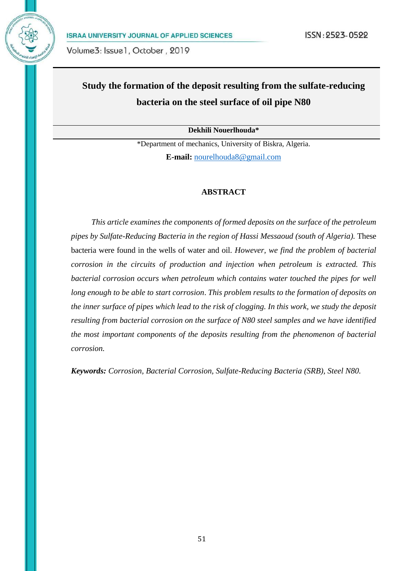

# **Study the formation of the deposit resulting from the sulfate-reducing bacteria on the steel surface of oil pipe N80**

**Dekhili Nouerlhouda\***

\*Department of mechanics, University of Biskra, Algeria. **E-mail:** [nourelhouda8@gmail.com](mailto:nourelhouda8@gmail.com)

#### **ABSTRACT**

*This article examines the components of formed deposits on the surface of the petroleum pipes by Sulfate-Reducing Bacteria in the region of Hassi Messaoud (south of Algeria).* These bacteria were found in the wells of water and oil. *However, we find the problem of bacterial corrosion in the circuits of production and injection when petroleum is extracted. This bacterial corrosion occurs when petroleum which contains water touched the pipes for well long enough to be able to start corrosion*. *This problem results to the formation of deposits on the inner surface of pipes which lead to the risk of clogging. In this work, we study the deposit resulting from bacterial corrosion on the surface of N80 steel samples and we have identified the most important components of the deposits resulting from the phenomenon of bacterial corrosion.*

*Keywords: Corrosion, Bacterial Corrosion, Sulfate-Reducing Bacteria (SRB), Steel N80.*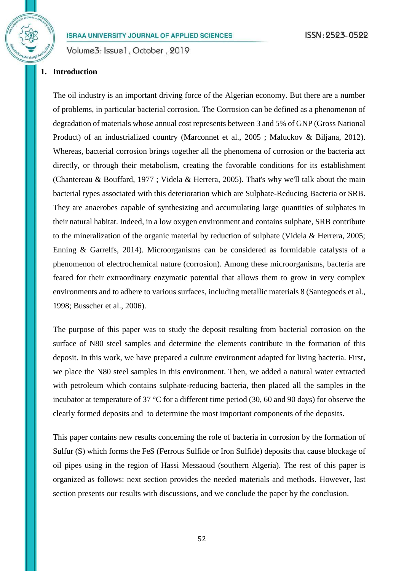Volume3: Issue1, October, 2019

# **1. Introduction**

The oil industry is an important driving force of the Algerian economy. But there are a number of problems, in particular bacterial corrosion. The Corrosion can be defined as a phenomenon of degradation of materials whose annual cost represents between 3 and 5% of GNP (Gross National Product) of an industrialized country (Marconnet et al., 2005 ; Maluckov & Biljana, 2012). Whereas, bacterial corrosion brings together all the phenomena of corrosion or the bacteria act directly, or through their metabolism, creating the favorable conditions for its establishment (Chantereau & Bouffard, 1977 ; Videla & Herrera, 2005). That's why we'll talk about the main bacterial types associated with this deterioration which are Sulphate-Reducing Bacteria or SRB. They are anaerobes capable of synthesizing and accumulating large quantities of sulphates in their natural habitat. Indeed, in a low oxygen environment and contains sulphate, SRB contribute to the mineralization of the organic material by reduction of sulphate (Videla & Herrera, 2005; Enning & Garrelfs, 2014). Microorganisms can be considered as formidable catalysts of a phenomenon of electrochemical nature (corrosion). Among these microorganisms, bacteria are feared for their extraordinary enzymatic potential that allows them to grow in very complex environments and to adhere to various surfaces, including metallic materials 8 (Santegoeds et al., 1998; Busscher et al., 2006).

The purpose of this paper was to study the deposit resulting from bacterial corrosion on the surface of N80 steel samples and determine the elements contribute in the formation of this deposit. In this work, we have prepared a culture environment adapted for living bacteria. First, we place the N80 steel samples in this environment. Then, we added a natural water extracted with petroleum which contains sulphate-reducing bacteria, then placed all the samples in the incubator at temperature of 37 °C for a different time period (30, 60 and 90 days) for observe the clearly formed deposits and to determine the most important components of the deposits.

This paper contains new results concerning the role of bacteria in corrosion by the formation of Sulfur (S) which forms the FeS (Ferrous Sulfide or Iron Sulfide) deposits that cause blockage of oil pipes using in the region of Hassi Messaoud (southern Algeria). The rest of this paper is organized as follows: next section provides the needed materials and methods. However, last section presents our results with discussions, and we conclude the paper by the conclusion.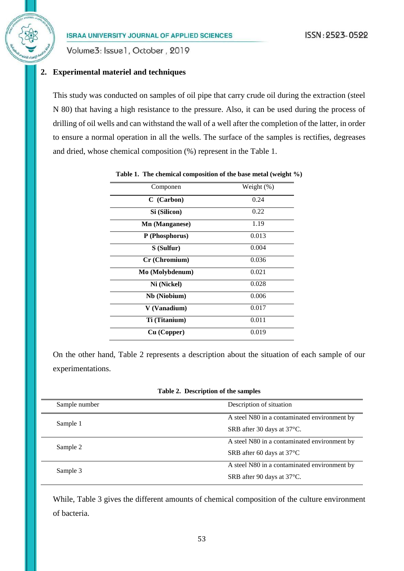Volume3: Issue1, October, 2019

# **2. Experimental materiel and techniques**

This study was conducted on samples of oil pipe that carry crude oil during the extraction (steel N 80) that having a high resistance to the pressure. Also, it can be used during the process of drilling of oil wells and can withstand the wall of a well after the completion of the latter, in order to ensure a normal operation in all the wells. The surface of the samples is rectifies, degreases and dried, whose chemical composition (%) represent in the Table 1.

| Componen        | Weight (%) |
|-----------------|------------|
| C (Carbon)      | 0.24       |
| Si (Silicon)    | 0.22       |
| Mn (Manganese)  | 1.19       |
| P (Phosphorus)  | 0.013      |
| S (Sulfur)      | 0.004      |
| Cr (Chromium)   | 0.036      |
| Mo (Molybdenum) | 0.021      |
| Ni (Nickel)     | 0.028      |
| Nb (Niobium)    | 0.006      |
| V (Vanadium)    | 0.017      |
| Ti (Titanium)   | 0.011      |
| Cu (Copper)     | 0.019      |

| Table 1. The chemical composition of the base metal (weight %) |  |  |  |  |  |
|----------------------------------------------------------------|--|--|--|--|--|
|----------------------------------------------------------------|--|--|--|--|--|

On the other hand, Table 2 represents a description about the situation of each sample of our experimentations.

| Sample number | Description of situation                     |
|---------------|----------------------------------------------|
| Sample 1      | A steel N80 in a contaminated environment by |
|               | SRB after 30 days at 37 °C.                  |
| Sample 2      | A steel N80 in a contaminated environment by |
|               | SRB after 60 days at $37^{\circ}$ C          |
| Sample 3      | A steel N80 in a contaminated environment by |
|               | SRB after 90 days at 37 °C.                  |

While, Table 3 gives the different amounts of chemical composition of the culture environment of bacteria.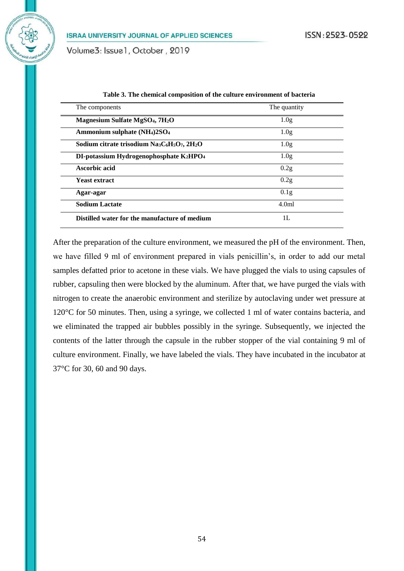Volume3: Issue1, October, 2019

| The components                                          | The quantity     |
|---------------------------------------------------------|------------------|
| Magnesium Sulfate MgSO <sub>4</sub> , 7H <sub>2</sub> O | 1.0 <sub>g</sub> |
| Ammonium sulphate (NH <sub>4</sub> )2SO <sub>4</sub>    | 1.0 <sub>g</sub> |
| Sodium citrate trisodium $Na_3C_6H_5O_7$ , $2H_2O$      | 1.0g             |
| DI-potassium Hydrogenophosphate $K_2HPO_4$              | 1.0g             |
| Ascorbic acid                                           | 0.2g             |
| <b>Yeast extract</b>                                    | 0.2g             |
| Agar-agar                                               | 0.1g             |
| <b>Sodium Lactate</b>                                   | 4.0 <sub>m</sub> |
| Distilled water for the manufacture of medium           | 1L               |

| Table 3. The chemical composition of the culture environment of bacteria |
|--------------------------------------------------------------------------|
|--------------------------------------------------------------------------|

After the preparation of the culture environment, we measured the pH of the environment. Then, we have filled 9 ml of environment prepared in vials penicillin's, in order to add our metal samples defatted prior to acetone in these vials. We have plugged the vials to using capsules of rubber, capsuling then were blocked by the aluminum. After that, we have purged the vials with nitrogen to create the anaerobic environment and sterilize by autoclaving under wet pressure at 120°C for 50 minutes. Then, using a syringe, we collected 1 ml of water contains bacteria, and we eliminated the trapped air bubbles possibly in the syringe. Subsequently, we injected the contents of the latter through the capsule in the rubber stopper of the vial containing 9 ml of culture environment. Finally, we have labeled the vials. They have incubated in the incubator at 37°C for 30, 60 and 90 days.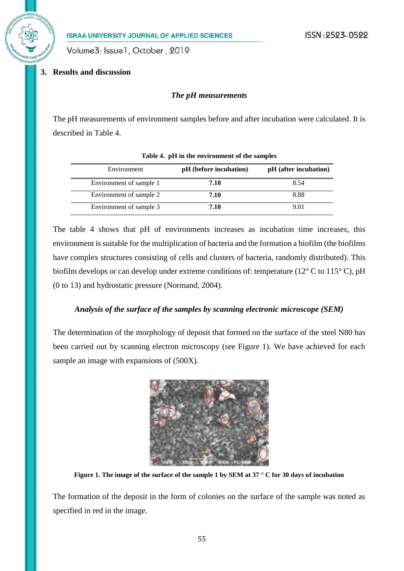

Volume3: Issue1, October, 2019

# **3. Results and discussion**

#### *The pH measurements*

The pH measurements of environment samples before and after incubation were calculated. It is described in Table 4.

| Environment             | pH (before incubation) | pH (after incubation) |
|-------------------------|------------------------|-----------------------|
| Environment of sample 1 | 7.10                   | 8.54                  |
| Environment of sample 2 | 7.10                   | 8.88                  |
| Environment of sample 3 | 7.10                   | 9 01                  |

**Table 4. pH in the environment of the samples**

The table 4 shows that pH of environments increases as incubation time increases, this environment is suitable for the multiplication of bacteria and the formation a biofilm (the biofilms have complex structures consisting of cells and clusters of bacteria, randomly distributed). This biofilm develops or can develop under extreme conditions of: temperature (12° C to 115° C), pH (0 to 13) and hydrostatic pressure (Normand, 2004).

# *Analysis of the surface of the samples by scanning electronic microscope (SEM)*

The determination of the morphology of deposit that formed on the surface of the steel N80 has been carried out by scanning electron microscopy (see Figure 1). We have achieved for each sample an image with expansions of (500X).



**Figure 1. The image of the surface of the sample 1 by SEM at 37 ° C for 30 days of incubation**

The formation of the deposit in the form of colonies on the surface of the sample was noted as specified in red in the image.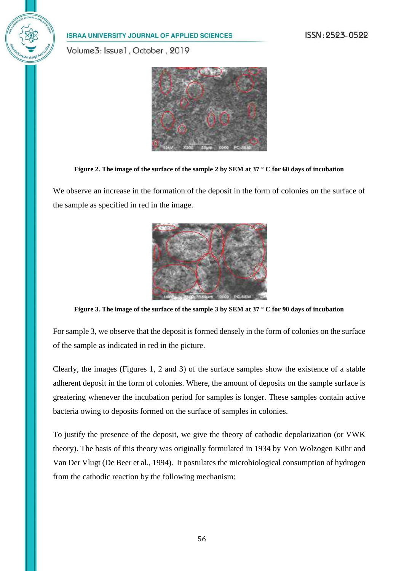Volume3: Issue1, October, 2019



**Figure 2. The image of the surface of the sample 2 by SEM at 37 ° C for 60 days of incubation**

We observe an increase in the formation of the deposit in the form of colonies on the surface of the sample as specified in red in the image.



**Figure 3. The image of the surface of the sample 3 by SEM at 37 ° C for 90 days of incubation**

For sample 3, we observe that the deposit is formed densely in the form of colonies on the surface of the sample as indicated in red in the picture.

Clearly, the images (Figures 1, 2 and 3) of the surface samples show the existence of a stable adherent deposit in the form of colonies. Where, the amount of deposits on the sample surface is greatering whenever the incubation period for samples is longer. These samples contain active bacteria owing to deposits formed on the surface of samples in colonies.

To justify the presence of the deposit, we give the theory of cathodic depolarization (or VWK theory). The basis of this theory was originally formulated in 1934 by Von Wolzogen Kühr and Van Der Vlugt (De Beer et al., 1994). It postulates the microbiological consumption of hydrogen from the cathodic reaction by the following mechanism: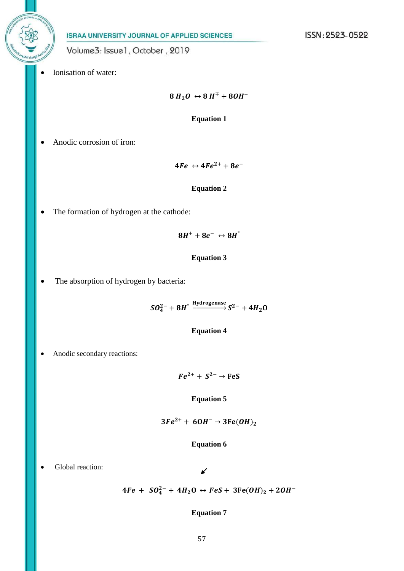Volume3: Issue1, October, 2019

Ionisation of water:

 $8 H_2 O \leftrightarrow 8 H^{\pm} + 8 O H^{-}$ 

**Equation 1**

Anodic corrosion of iron:

 $4Fe \leftrightarrow 4Fe^{2+} + 8e^{-}$ 

#### **Equation 2**

The formation of hydrogen at the cathode:

 $8H^+ + 8e^- \leftrightarrow 8H^{\circ}$ 

#### **Equation 3**

• The absorption of hydrogen by bacteria:

 $SO_4^{2-}+8H^\circ \xrightarrow{\text{Hydrogenase}} S^{2-}+4H_2\text{O}$ 

#### **Equation 4**

• Anodic secondary reactions:

 $Fe^{2+} + S^{2-} \rightarrow FeS$ 

#### **Equation 5**

$$
3Fe^{2+} + 60H^{-} \rightarrow 3Fe(OH)_{2}
$$

#### **Equation 6**

Global reaction:

$$
\mathbf{K}^{\prime}
$$

$$
4Fe + SO_4^{2-} + 4H_2O \leftrightarrow FeS + 3Fe(OH)_2 + 2OH^-
$$

#### **Equation 7**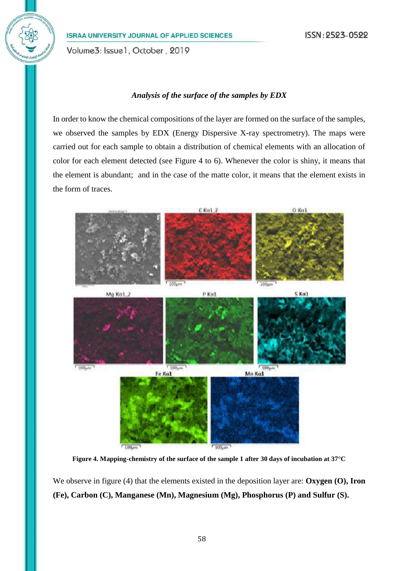Volume3: Issue1, October, 2019

#### *Analysis of the surface of the samples by EDX*

In order to know the chemical compositions of the layer are formed on the surface of the samples, we observed the samples by EDX (Energy Dispersive X-ray spectrometry). The maps were carried out for each sample to obtain a distribution of chemical elements with an allocation of color for each element detected (see Figure 4 to 6). Whenever the color is shiny, it means that the element is abundant; and in the case of the matte color, it means that the element exists in the form of traces.



**Figure 4. Mapping-chemistry of the surface of the sample 1 after 30 days of incubation at 37°C**

We observe in figure (4) that the elements existed in the deposition layer are: **Oxygen (0), Iron (Fe), Carbon (C), Manganese (Mn), Magnesium (Mg), Phosphorus (P) and Sulfur (S).**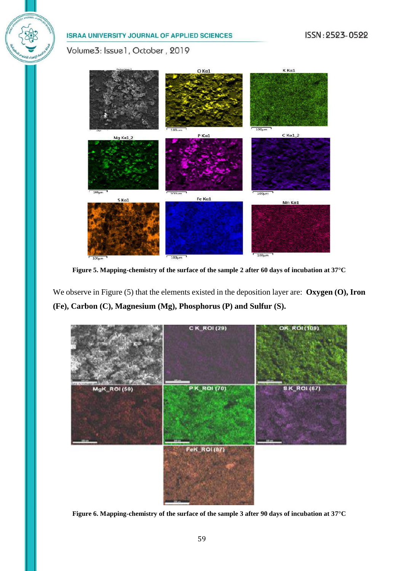Volume3: Issue1, October, 2019



**Figure 5. Mapping-chemistry of the surface of the sample 2 after 60 days of incubation at 37°C**

We observe in Figure (5) that the elements existed in the deposition layer are: **Oxygen (O), Iron (Fe), Carbon (C), Magnesium (Mg), Phosphorus (P) and Sulfur (S).**



**Figure 6. Mapping-chemistry of the surface of the sample 3 after 90 days of incubation at 37°C**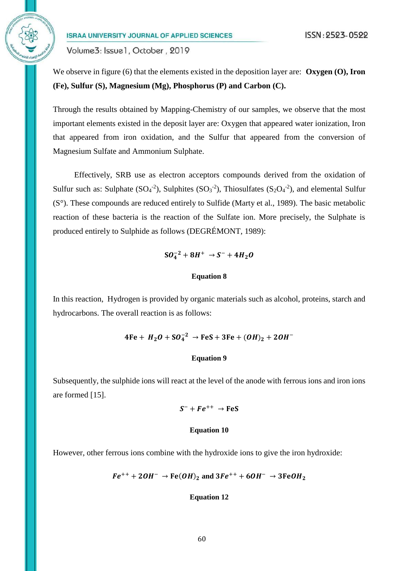Volume3: Issue1, October, 2019

We observe in figure (6) that the elements existed in the deposition layer are: **Oxygen (0), Iron (Fe), Sulfur (S), Magnesium (Mg), Phosphorus (P) and Carbon (C).**

Through the results obtained by Mapping-Chemistry of our samples, we observe that the most important elements existed in the deposit layer are: Oxygen that appeared water ionization, Iron that appeared from iron oxidation, and the Sulfur that appeared from the conversion of Magnesium Sulfate and Ammonium Sulphate.

Effectively, SRB use as electron acceptors compounds derived from the oxidation of Sulfur such as: Sulphate  $(SO_4^{-2})$ , Sulphites  $(SO_3^{-2})$ , Thiosulfates  $(S_2O_4^{-2})$ , and elemental Sulfur (S°). These compounds are reduced entirely to Sulfide (Marty et al., 1989). The basic metabolic reaction of these bacteria is the reaction of the Sulfate ion. More precisely, the Sulphate is produced entirely to Sulphide as follows (DEGRÉMONT, 1989):

 $SO_4^{-2} + 8H^+ \rightarrow S^- + 4H_2O$ 

#### **Equation 8**

In this reaction, Hydrogen is provided by organic materials such as alcohol, proteins, starch and hydrocarbons. The overall reaction is as follows:

$$
4Fe + H_2O + SO_4^{-2} \rightarrow FeS + 3Fe + (OH)_2 + 2OH^{-}
$$

#### **Equation 9**

Subsequently, the sulphide ions will react at the level of the anode with ferrous ions and iron ions are formed [15].

#### $S^- + Fe^{++} \rightarrow FeS$

#### **Equation 10**

However, other ferrous ions combine with the hydroxide ions to give the iron hydroxide:

$$
Fe^{++} + 2OH^- \rightarrow Fe(OH)_2
$$
 and  $3Fe^{++} + 6OH^- \rightarrow 3FeOH_2$ 

#### **Equation 12**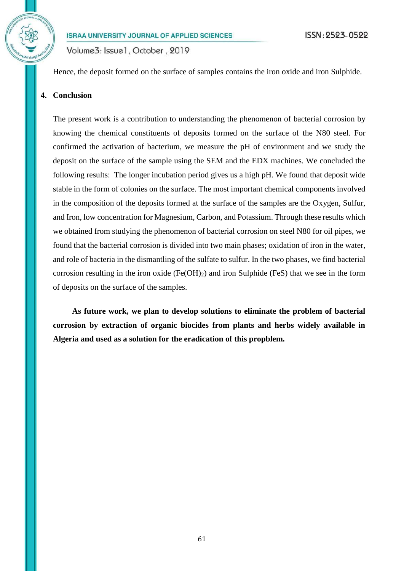

Volume3: Issue1, October, 2019

Hence, the deposit formed on the surface of samples contains the iron oxide and iron Sulphide.

# **4. Conclusion**

The present work is a contribution to understanding the phenomenon of bacterial corrosion by knowing the chemical constituents of deposits formed on the surface of the N80 steel. For confirmed the activation of bacterium, we measure the pH of environment and we study the deposit on the surface of the sample using the SEM and the EDX machines. We concluded the following results: The longer incubation period gives us a high pH. We found that deposit wide stable in the form of colonies on the surface. The most important chemical components involved in the composition of the deposits formed at the surface of the samples are the Oxygen, Sulfur, and Iron, low concentration for Magnesium, Carbon, and Potassium. Through these results which we obtained from studying the phenomenon of bacterial corrosion on steel N80 for oil pipes, we found that the bacterial corrosion is divided into two main phases; oxidation of iron in the water, and role of bacteria in the dismantling of the sulfate to sulfur. In the two phases, we find bacterial corrosion resulting in the iron oxide  $(Fe(OH)_2)$  and iron Sulphide (FeS) that we see in the form of deposits on the surface of the samples.

**As future work, we plan to develop solutions to eliminate the problem of bacterial corrosion by extraction of organic biocides from plants and herbs widely available in Algeria and used as a solution for the eradication of this propblem.**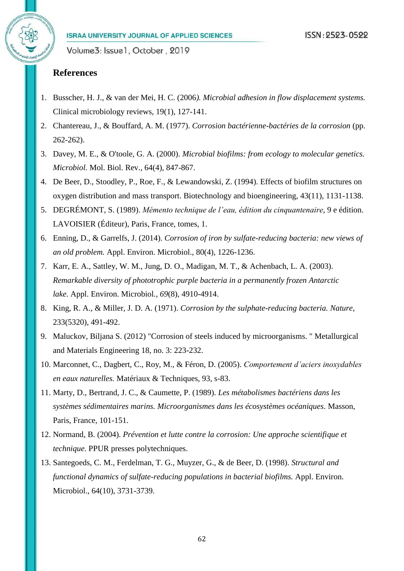Volume3: Issue1, October, 2019

# **References**

- 1. Busscher, H. J., & van der Mei, H. C. (2006*). Microbial adhesion in flow displacement systems.* Clinical microbiology reviews, 19(1), 127-141.
- 2. Chantereau, J., & Bouffard, A. M. (1977). *Corrosion bactérienne-bactéries de la corrosion* (pp. 262-262).
- 3. Davey, M. E., & O'toole, G. A. (2000). *Microbial biofilms: from ecology to molecular genetics. Microbiol.* Mol. Biol. Rev., 64(4), 847-867.
- 4. De Beer, D., Stoodley, P., Roe, F., & Lewandowski, Z. (1994). Effects of biofilm structures on oxygen distribution and mass transport. Biotechnology and bioengineering, 43(11), 1131-1138.
- 5. DEGRÉMONT, S. (1989). *Mémento technique de l'eau, édition du cinquantenaire*, 9 e édition. LAVOISIER (Éditeur), Paris, France, tomes, 1.
- 6. Enning, D., & Garrelfs, J. (2014). *Corrosion of iron by sulfate-reducing bacteria: new views of an old problem.* Appl. Environ. Microbiol., 80(4), 1226-1236.
- 7. Karr, E. A., Sattley, W. M., Jung, D. O., Madigan, M. T., & Achenbach, L. A. (2003). *Remarkable diversity of phototrophic purple bacteria in a permanently frozen Antarctic lake.* Appl. Environ. Microbiol*.*, *69*(8), 4910-4914.
- 8. King, R. A., & Miller, J. D. A. (1971). *Corrosion by the sulphate-reducing bacteria. Nature*, 233(5320), 491-492.
- 9. Maluckov, Biljana S. (2012) "Corrosion of steels induced by microorganisms. " Metallurgical and Materials Engineering 18, no. 3: 223-232.
- 10. Marconnet, C., Dagbert, C., Roy, M., & Féron, D. (2005). *Comportement d'aciers inoxydables en eaux naturelles.* Matériaux & Techniques, 93, s-83.
- 11. Marty, D., Bertrand, J. C., & Caumette, P. (1989). *Les métabolismes bactériens dans les systèmes sédimentaires marins. Microorganismes dans les écosystèmes océaniques*. Masson, Paris, France, 101-151.
- 12. Normand, B. (2004). *Prévention et lutte contre la corrosion: Une approche scientifique et technique*. PPUR presses polytechniques.
- 13. Santegoeds, C. M., Ferdelman, T. G., Muyzer, G., & de Beer, D. (1998). *Structural and functional dynamics of sulfate-reducing populations in bacterial biofilms.* Appl. Environ. Microbiol., 64(10), 3731-3739.